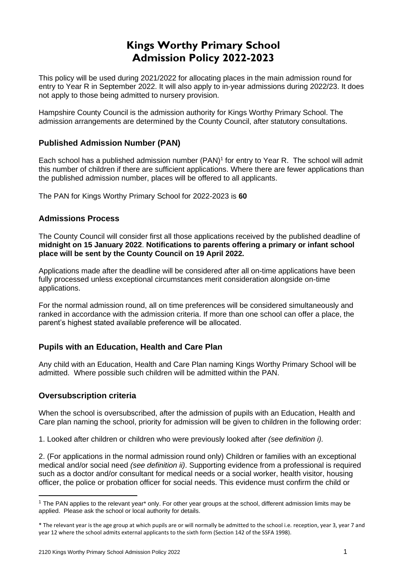# **Kings Worthy Primary School Admission Policy 2022-2023**

This policy will be used during 2021/2022 for allocating places in the main admission round for entry to Year R in September 2022. It will also apply to in-year admissions during 2022/23. It does not apply to those being admitted to nursery provision.

Hampshire County Council is the admission authority for Kings Worthy Primary School. The admission arrangements are determined by the County Council, after statutory consultations.

# **Published Admission Number (PAN)**

Each school has a published admission number (PAN)<sup>1</sup> for entry to Year R. The school will admit this number of children if there are sufficient applications. Where there are fewer applications than the published admission number, places will be offered to all applicants.

The PAN for Kings Worthy Primary School for 2022-2023 is **60**

# **Admissions Process**

The County Council will consider first all those applications received by the published deadline of **midnight on 15 January 2022**. **Notifications to parents offering a primary or infant school place will be sent by the County Council on 19 April 2022.**

Applications made after the deadline will be considered after all on-time applications have been fully processed unless exceptional circumstances merit consideration alongside on-time applications.

For the normal admission round, all on time preferences will be considered simultaneously and ranked in accordance with the admission criteria. If more than one school can offer a place, the parent's highest stated available preference will be allocated.

# **Pupils with an Education, Health and Care Plan**

Any child with an Education, Health and Care Plan naming Kings Worthy Primary School will be admitted. Where possible such children will be admitted within the PAN.

# **Oversubscription criteria**

When the school is oversubscribed, after the admission of pupils with an Education, Health and Care plan naming the school, priority for admission will be given to children in the following order:

1. Looked after children or children who were previously looked after *(see definition i).* 

2. (For applications in the normal admission round only) Children or families with an exceptional medical and/or social need *(see definition ii)*. Supporting evidence from a professional is required such as a doctor and/or consultant for medical needs or a social worker, health visitor, housing officer, the police or probation officer for social needs. This evidence must confirm the child or

<sup>1</sup> The PAN applies to the relevant year\* only. For other year groups at the school, different admission limits may be applied. Please ask the school or local authority for details.

<sup>\*</sup> The relevant year is the age group at which pupils are or will normally be admitted to the school i.e. reception, year 3, year 7 and year 12 where the school admits external applicants to the sixth form (Section 142 of the SSFA 1998).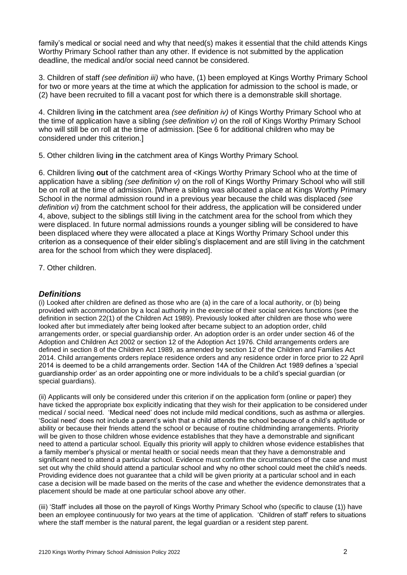family's medical or social need and why that need(s) makes it essential that the child attends Kings Worthy Primary School rather than any other. If evidence is not submitted by the application deadline, the medical and/or social need cannot be considered.

3. Children of staff *(see definition iii)* who have, (1) been employed at Kings Worthy Primary School for two or more years at the time at which the application for admission to the school is made, or (2) have been recruited to fill a vacant post for which there is a demonstrable skill shortage.

4. Children living **in** the catchment area *(see definition iv)* of Kings Worthy Primary School who at the time of application have a sibling *(see definition v)* on the roll of Kings Worthy Primary School who will still be on roll at the time of admission. [See 6 for additional children who may be considered under this criterion.]

5. Other children living **in** the catchment area of Kings Worthy Primary School*.*

6. Children living **out** of the catchment area of <Kings Worthy Primary School who at the time of application have a sibling *(see definition v)* on the roll of Kings Worthy Primary School who will still be on roll at the time of admission. [Where a sibling was allocated a place at Kings Worthy Primary School in the normal admission round in a previous year because the child was displaced *(see definition vi)* from the catchment school for their address, the application will be considered under 4, above, subject to the siblings still living in the catchment area for the school from which they were displaced. In future normal admissions rounds a younger sibling will be considered to have been displaced where they were allocated a place at Kings Worthy Primary School under this criterion as a consequence of their elder sibling's displacement and are still living in the catchment area for the school from which they were displaced].

7. Other children.

# *Definitions*

(i) Looked after children are defined as those who are (a) in the care of a local authority, or (b) being provided with accommodation by a local authority in the exercise of their social services functions (see the definition in section 22(1) of the Children Act 1989). Previously looked after children are those who were looked after but immediately after being looked after became subject to an adoption order, child arrangements order, or special guardianship order. An adoption order is an order under section 46 of the Adoption and Children Act 2002 or section 12 of the Adoption Act 1976. Child arrangements orders are defined in section 8 of the Children Act 1989, as amended by section 12 of the Children and Families Act 2014. Child arrangements orders replace residence orders and any residence order in force prior to 22 April 2014 is deemed to be a child arrangements order. Section 14A of the Children Act 1989 defines a 'special guardianship order' as an order appointing one or more individuals to be a child's special guardian (or special guardians).

(ii) Applicants will only be considered under this criterion if on the application form (online or paper) they have ticked the appropriate box explicitly indicating that they wish for their application to be considered under medical / social need. 'Medical need' does not include mild medical conditions, such as asthma or allergies. 'Social need' does not include a parent's wish that a child attends the school because of a child's aptitude or ability or because their friends attend the school or because of routine childminding arrangements. Priority will be given to those children whose evidence establishes that they have a demonstrable and significant need to attend a particular school. Equally this priority will apply to children whose evidence establishes that a family member's physical or mental health or social needs mean that they have a demonstrable and significant need to attend a particular school. Evidence must confirm the circumstances of the case and must set out why the child should attend a particular school and why no other school could meet the child's needs. Providing evidence does not guarantee that a child will be given priority at a particular school and in each case a decision will be made based on the merits of the case and whether the evidence demonstrates that a placement should be made at one particular school above any other.

(iii) 'Staff' includes all those on the payroll of Kings Worthy Primary School who (specific to clause (1)) have been an employee continuously for two years at the time of application. 'Children of staff' refers to situations where the staff member is the natural parent, the legal guardian or a resident step parent.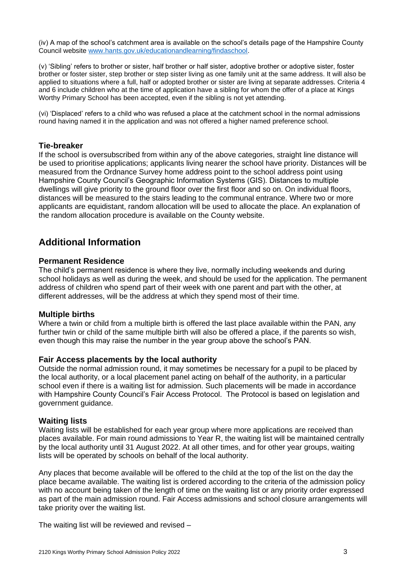(iv) A map of the school's catchment area is available on the school's details page of the Hampshire County Council website [www.hants.gov.uk/educationandlearning/findaschool.](http://www.hants.gov.uk/educationandlearning/findaschool)

(v) 'Sibling' refers to brother or sister, half brother or half sister, adoptive brother or adoptive sister, foster brother or foster sister, step brother or step sister living as one family unit at the same address. It will also be applied to situations where a full, half or adopted brother or sister are living at separate addresses. Criteria 4 and 6 include children who at the time of application have a sibling for whom the offer of a place at Kings Worthy Primary School has been accepted, even if the sibling is not yet attending.

(vi) 'Displaced' refers to a child who was refused a place at the catchment school in the normal admissions round having named it in the application and was not offered a higher named preference school.

#### **Tie-breaker**

If the school is oversubscribed from within any of the above categories, straight line distance will be used to prioritise applications; applicants living nearer the school have priority. Distances will be measured from the Ordnance Survey home address point to the school address point using Hampshire County Council's Geographic Information Systems (GIS). Distances to multiple dwellings will give priority to the ground floor over the first floor and so on. On individual floors, distances will be measured to the stairs leading to the communal entrance. Where two or more applicants are equidistant, random allocation will be used to allocate the place. An explanation of the random allocation procedure is available on the County website.

# **Additional Information**

#### **Permanent Residence**

The child's permanent residence is where they live, normally including weekends and during school holidays as well as during the week, and should be used for the application. The permanent address of children who spend part of their week with one parent and part with the other, at different addresses, will be the address at which they spend most of their time.

#### **Multiple births**

Where a twin or child from a multiple birth is offered the last place available within the PAN, any further twin or child of the same multiple birth will also be offered a place, if the parents so wish, even though this may raise the number in the year group above the school's PAN.

#### **Fair Access placements by the local authority**

Outside the normal admission round, it may sometimes be necessary for a pupil to be placed by the local authority, or a local placement panel acting on behalf of the authority, in a particular school even if there is a waiting list for admission. Such placements will be made in accordance with Hampshire County Council's Fair Access Protocol. The Protocol is based on legislation and government guidance.

#### **Waiting lists**

Waiting lists will be established for each year group where more applications are received than places available. For main round admissions to Year R, the waiting list will be maintained centrally by the local authority until 31 August 2022. At all other times, and for other year groups, waiting lists will be operated by schools on behalf of the local authority.

Any places that become available will be offered to the child at the top of the list on the day the place became available. The waiting list is ordered according to the criteria of the admission policy with no account being taken of the length of time on the waiting list or any priority order expressed as part of the main admission round. Fair Access admissions and school closure arrangements will take priority over the waiting list.

The waiting list will be reviewed and revised –